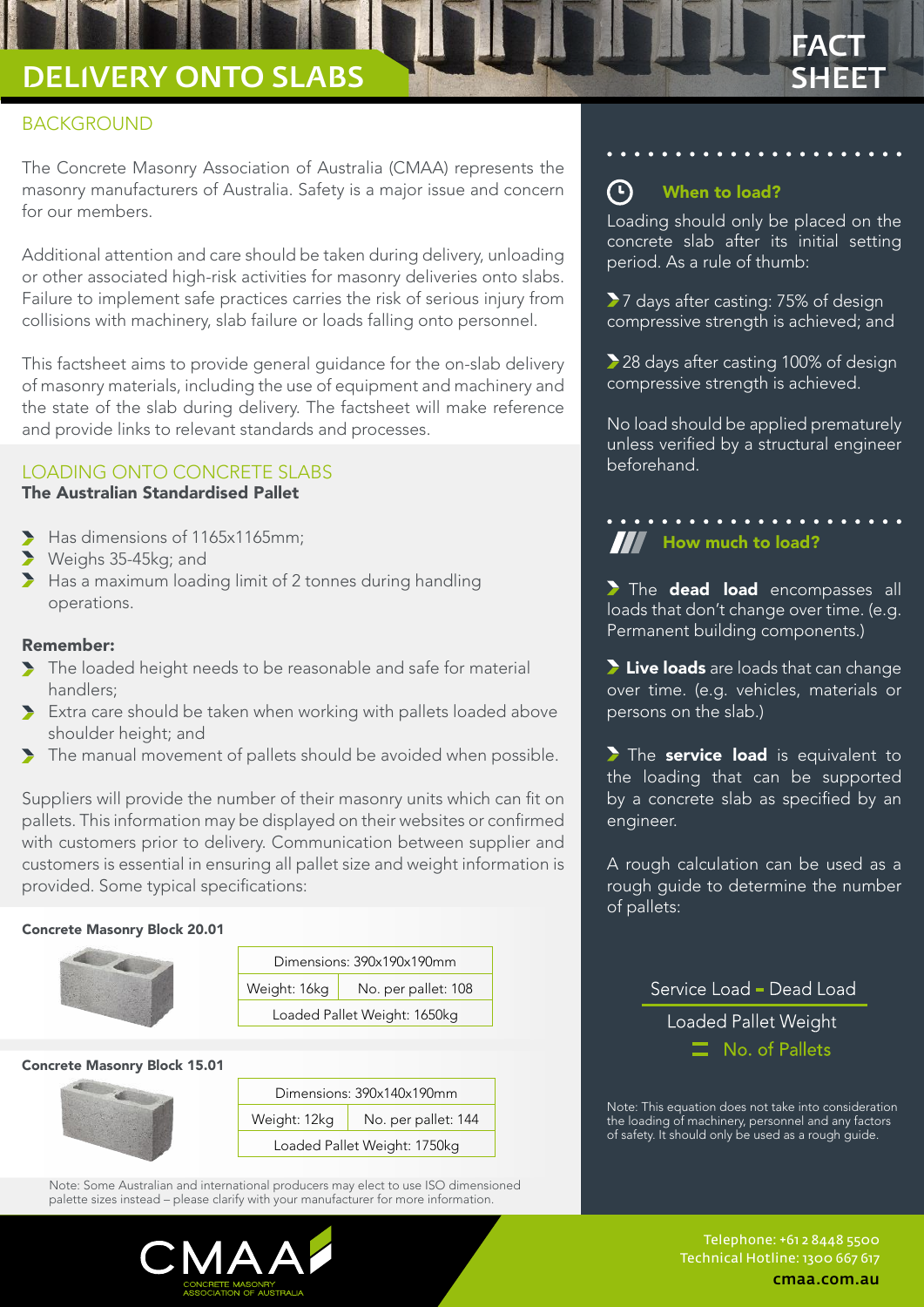# DELIVERY ONTO SLABS SHEET

# BACKGROUND

The Concrete Masonry Association of Australia (CMAA) represents the masonry manufacturers of Australia. Safety is a major issue and concern for our members.

Additional attention and care should be taken during delivery, unloading or other associated high-risk activities for masonry deliveries onto slabs. Failure to implement safe practices carries the risk of serious injury from collisions with machinery, slab failure or loads falling onto personnel.

This factsheet aims to provide general guidance for the on-slab delivery of masonry materials, including the use of equipment and machinery and the state of the slab during delivery. The factsheet will make reference and provide links to relevant standards and processes.

## LOADING ONTO CONCRETE SLABS

#### The Australian Standardised Pallet

- $\blacktriangleright$  Has dimensions of 1165x1165mm;
- Weighs 35-45kg; and
- Has a maximum loading limit of 2 tonnes during handling operations.

#### Remember:

- The loaded height needs to be reasonable and safe for material handlers;
- Extra care should be taken when working with pallets loaded above shoulder height; and
- The manual movement of pallets should be avoided when possible.

Suppliers will provide the number of their masonry units which can fit on pallets. This information may be displayed on their websites or confirmed with customers prior to delivery. Communication between supplier and customers is essential in ensuring all pallet size and weight information is provided. Some typical specifications:

#### Concrete Masonry Block 20.01



| Dimensions: 390x190x190mm    |                     |
|------------------------------|---------------------|
| Weight: 16kg                 | No. per pallet: 108 |
| Loaded Pallet Weight: 1650kg |                     |

#### Concrete Masonry Block 15.01



Note: Some Australian and international producers may elect to use ISO dimensioned palette sizes instead – please clarify with your manufacturer for more information.



#### $\bigodot$ When to load?

Loading should only be placed on the concrete slab after its initial setting period. As a rule of thumb:

FACT

▶ 7 days after casting: 75% of design compressive strength is achieved; and

28 days after casting 100% of design compressive strength is achieved.

No load should be applied prematurely unless verified by a structural engineer beforehand.

# **How much to load?**

The dead load encompasses all loads that don't change over time. (e.g. Permanent building components.)

I Live loads are loads that can change over time. (e.g. vehicles, materials or persons on the slab.)

The service load is equivalent to the loading that can be supported by a concrete slab as specified by an engineer.

A rough calculation can be used as a rough guide to determine the number of pallets:

> Service Load - Dead Load Loaded Pallet Weight  $\equiv$  No. of Pallets

Note: This equation does not take into consideration the loading of machinery, personnel and any factors of safety. It should only be used as a rough guide.

> Telephone: +61 2 8448 5500 Technical Hotline: 1300 667 617 cmaa.com.au